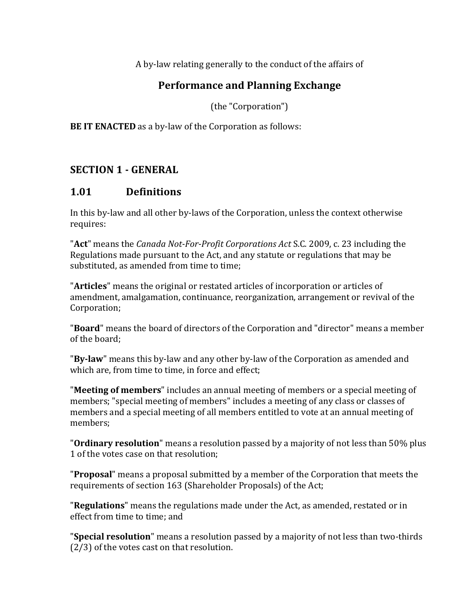A by-law relating generally to the conduct of the affairs of

#### **Performance and Planning Exchange**

(the "Corporation")

**BE IT ENACTED** as a by-law of the Corporation as follows:

#### **SECTION 1 - GENERAL**

#### **1.01 Definitions**

In this by-law and all other by-laws of the Corporation, unless the context otherwise requires: 

**"Act"** means the *Canada Not-For-Profit Corporations Act* S.C. 2009, c. 23 including the Regulations made pursuant to the Act, and any statute or regulations that may be substituted, as amended from time to time:

"**Articles**" means the original or restated articles of incorporation or articles of amendment, amalgamation, continuance, reorganization, arrangement or revival of the Corporation; 

"**Board**" means the board of directors of the Corporation and "director" means a member of the board:

"**By-law**" means this by-law and any other by-law of the Corporation as amended and which are, from time to time, in force and effect:

**"Meeting of members**" includes an annual meeting of members or a special meeting of members; "special meeting of members" includes a meeting of any class or classes of members and a special meeting of all members entitled to vote at an annual meeting of members; 

"**Ordinary resolution**" means a resolution passed by a majority of not less than 50% plus 1 of the votes case on that resolution;

**"Proposal"** means a proposal submitted by a member of the Corporation that meets the requirements of section 163 (Shareholder Proposals) of the Act;

**"Regulations"** means the regulations made under the Act, as amended, restated or in effect from time to time: and

**"Special resolution**" means a resolution passed by a majority of not less than two-thirds  $(2/3)$  of the votes cast on that resolution.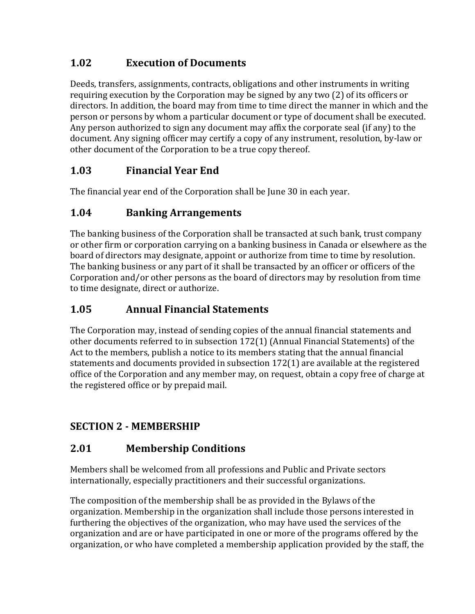# **1.02 Execution of Documents**

Deeds, transfers, assignments, contracts, obligations and other instruments in writing requiring execution by the Corporation may be signed by any two (2) of its officers or directors. In addition, the board may from time to time direct the manner in which and the person or persons by whom a particular document or type of document shall be executed. Any person authorized to sign any document may affix the corporate seal (if any) to the document. Any signing officer may certify a copy of any instrument, resolution, by-law or other document of the Corporation to be a true copy thereof.

## **1.03 Financial Year End**

The financial year end of the Corporation shall be June 30 in each year.

## **1.04 Banking Arrangements**

The banking business of the Corporation shall be transacted at such bank, trust company or other firm or corporation carrying on a banking business in Canada or elsewhere as the board of directors may designate, appoint or authorize from time to time by resolution. The banking business or any part of it shall be transacted by an officer or officers of the Corporation and/or other persons as the board of directors may by resolution from time to time designate, direct or authorize.

## **1.05 Annual Financial Statements**

The Corporation may, instead of sending copies of the annual financial statements and other documents referred to in subsection  $172(1)$  (Annual Financial Statements) of the Act to the members, publish a notice to its members stating that the annual financial statements and documents provided in subsection  $172(1)$  are available at the registered office of the Corporation and any member may, on request, obtain a copy free of charge at the registered office or by prepaid mail.

# **SECTION 2 - MEMBERSHIP**

## **2.01 Membership Conditions**

Members shall be welcomed from all professions and Public and Private sectors internationally, especially practitioners and their successful organizations.

The composition of the membership shall be as provided in the Bylaws of the organization. Membership in the organization shall include those persons interested in furthering the objectives of the organization, who may have used the services of the organization and are or have participated in one or more of the programs offered by the organization, or who have completed a membership application provided by the staff, the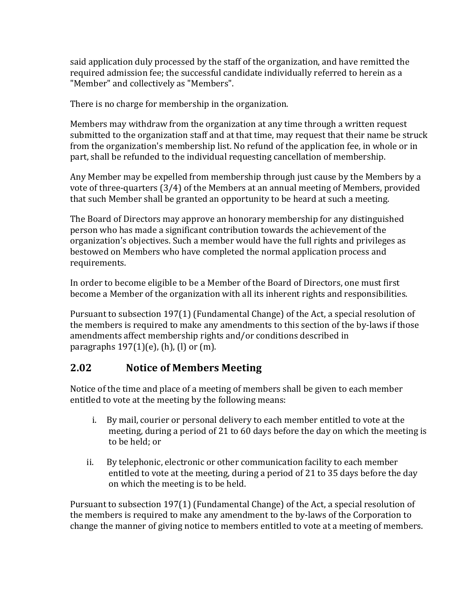said application duly processed by the staff of the organization, and have remitted the required admission fee; the successful candidate individually referred to herein as a "Member" and collectively as "Members".

There is no charge for membership in the organization.

Members may withdraw from the organization at any time through a written request submitted to the organization staff and at that time, may request that their name be struck from the organization's membership list. No refund of the application fee, in whole or in part, shall be refunded to the individual requesting cancellation of membership.

Any Member may be expelled from membership through just cause by the Members by a vote of three-quarters  $(3/4)$  of the Members at an annual meeting of Members, provided that such Member shall be granted an opportunity to be heard at such a meeting.

The Board of Directors may approve an honorary membership for any distinguished person who has made a significant contribution towards the achievement of the organization's objectives. Such a member would have the full rights and privileges as bestowed on Members who have completed the normal application process and requirements. 

In order to become eligible to be a Member of the Board of Directors, one must first become a Member of the organization with all its inherent rights and responsibilities.

Pursuant to subsection 197(1) (Fundamental Change) of the Act, a special resolution of the members is required to make any amendments to this section of the by-laws if those amendments affect membership rights and/or conditions described in paragraphs  $197(1)(e)$ , (h), (l) or (m).

#### **2.02 Notice of Members Meeting**

Notice of the time and place of a meeting of members shall be given to each member entitled to vote at the meeting by the following means:

- i. By mail, courier or personal delivery to each member entitled to vote at the meeting, during a period of 21 to 60 days before the day on which the meeting is to be held; or
- ii. By telephonic, electronic or other communication facility to each member entitled to vote at the meeting, during a period of 21 to 35 days before the day on which the meeting is to be held.

Pursuant to subsection  $197(1)$  (Fundamental Change) of the Act, a special resolution of the members is required to make any amendment to the by-laws of the Corporation to change the manner of giving notice to members entitled to vote at a meeting of members.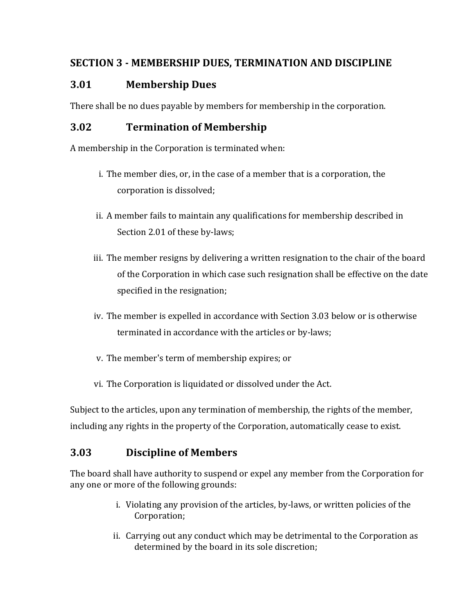### **SECTION 3 - MEMBERSHIP DUES, TERMINATION AND DISCIPLINE**

#### **3.01 Membership Dues**

There shall be no dues payable by members for membership in the corporation.

#### **3.02 Termination of Membership**

A membership in the Corporation is terminated when:

- i. The member dies, or, in the case of a member that is a corporation, the corporation is dissolved;
- ii. A member fails to maintain any qualifications for membership described in Section 2.01 of these by-laws;
- iii. The member resigns by delivering a written resignation to the chair of the board of the Corporation in which case such resignation shall be effective on the date specified in the resignation;
- iv. The member is expelled in accordance with Section 3.03 below or is otherwise terminated in accordance with the articles or by-laws;
- v. The member's term of membership expires; or
- vi. The Corporation is liquidated or dissolved under the Act.

Subject to the articles, upon any termination of membership, the rights of the member, including any rights in the property of the Corporation, automatically cease to exist.

## **3.03 Discipline of Members**

The board shall have authority to suspend or expel any member from the Corporation for any one or more of the following grounds:

- i. Violating any provision of the articles, by-laws, or written policies of the Corporation;
- ii. Carrying out any conduct which may be detrimental to the Corporation as determined by the board in its sole discretion;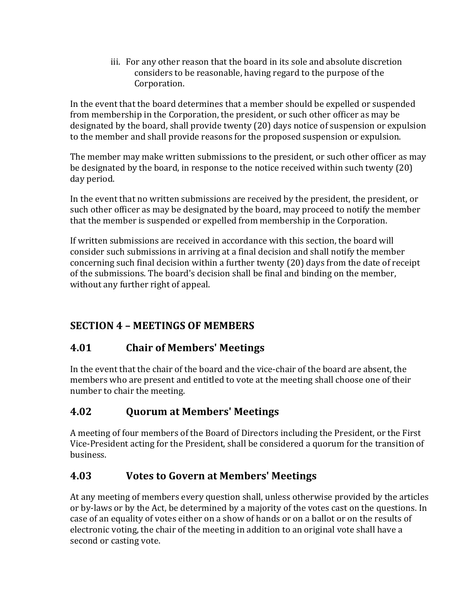iii. For any other reason that the board in its sole and absolute discretion considers to be reasonable, having regard to the purpose of the Corporation.

In the event that the board determines that a member should be expelled or suspended from membership in the Corporation, the president, or such other officer as may be designated by the board, shall provide twenty (20) days notice of suspension or expulsion to the member and shall provide reasons for the proposed suspension or expulsion.

The member may make written submissions to the president, or such other officer as may be designated by the board, in response to the notice received within such twenty  $(20)$ day period.

In the event that no written submissions are received by the president, the president, or such other officer as may be designated by the board, may proceed to notify the member that the member is suspended or expelled from membership in the Corporation.

If written submissions are received in accordance with this section, the board will consider such submissions in arriving at a final decision and shall notify the member concerning such final decision within a further twenty (20) days from the date of receipt of the submissions. The board's decision shall be final and binding on the member, without any further right of appeal.

# **SECTION 4 – MEETINGS OF MEMBERS**

## **4.01 Chair of Members' Meetings**

In the event that the chair of the board and the vice-chair of the board are absent, the members who are present and entitled to vote at the meeting shall choose one of their number to chair the meeting.

# **4.02 Quorum at Members' Meetings**

A meeting of four members of the Board of Directors including the President, or the First Vice-President acting for the President, shall be considered a quorum for the transition of business. 

## **4.03 Votes to Govern at Members' Meetings**

At any meeting of members every question shall, unless otherwise provided by the articles or by-laws or by the Act, be determined by a majority of the votes cast on the questions. In case of an equality of votes either on a show of hands or on a ballot or on the results of electronic voting, the chair of the meeting in addition to an original vote shall have a second or casting vote.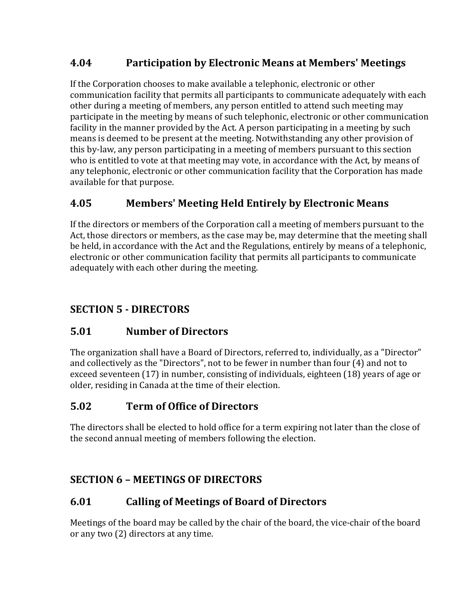## **4.04 Participation by Electronic Means at Members' Meetings**

If the Corporation chooses to make available a telephonic, electronic or other communication facility that permits all participants to communicate adequately with each other during a meeting of members, any person entitled to attend such meeting may participate in the meeting by means of such telephonic, electronic or other communication facility in the manner provided by the Act. A person participating in a meeting by such means is deemed to be present at the meeting. Notwithstanding any other provision of this by-law, any person participating in a meeting of members pursuant to this section who is entitled to vote at that meeting may vote, in accordance with the Act, by means of any telephonic, electronic or other communication facility that the Corporation has made available for that purpose.

#### **4.05 Members' Meeting Held Entirely by Electronic Means**

If the directors or members of the Corporation call a meeting of members pursuant to the Act, those directors or members, as the case may be, may determine that the meeting shall be held, in accordance with the Act and the Regulations, entirely by means of a telephonic, electronic or other communication facility that permits all participants to communicate adequately with each other during the meeting.

### **SECTION 5 - DIRECTORS**

#### **5.01 Number of Directors**

The organization shall have a Board of Directors, referred to, individually, as a "Director" and collectively as the "Directors", not to be fewer in number than four  $(4)$  and not to exceed seventeen (17) in number, consisting of individuals, eighteen (18) years of age or older, residing in Canada at the time of their election.

## **5.02 Term of Office of Directors**

The directors shall be elected to hold office for a term expiring not later than the close of the second annual meeting of members following the election.

#### **SECTION 6 – MEETINGS OF DIRECTORS**

#### **6.01 Calling of Meetings of Board of Directors**

Meetings of the board may be called by the chair of the board, the vice-chair of the board or any two (2) directors at any time.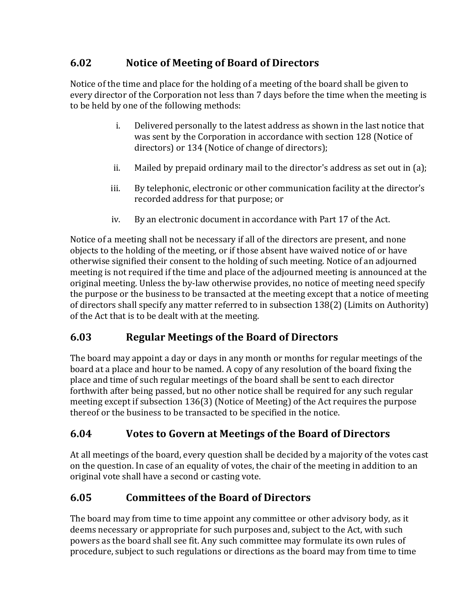## **6.02 Notice of Meeting of Board of Directors**

Notice of the time and place for the holding of a meeting of the board shall be given to every director of the Corporation not less than 7 days before the time when the meeting is to be held by one of the following methods:

- i. Delivered personally to the latest address as shown in the last notice that was sent by the Corporation in accordance with section 128 (Notice of directors) or 134 (Notice of change of directors);
- ii. Mailed by prepaid ordinary mail to the director's address as set out in (a);
- iii. By telephonic, electronic or other communication facility at the director's recorded address for that purpose; or
- iv. By an electronic document in accordance with Part 17 of the Act.

Notice of a meeting shall not be necessary if all of the directors are present, and none objects to the holding of the meeting, or if those absent have waived notice of or have otherwise signified their consent to the holding of such meeting. Notice of an adjourned meeting is not required if the time and place of the adjourned meeting is announced at the original meeting. Unless the by-law otherwise provides, no notice of meeting need specify the purpose or the business to be transacted at the meeting except that a notice of meeting of directors shall specify any matter referred to in subsection 138(2) (Limits on Authority) of the Act that is to be dealt with at the meeting.

# **6.03 Regular Meetings of the Board of Directors**

The board may appoint a day or days in any month or months for regular meetings of the board at a place and hour to be named. A copy of any resolution of the board fixing the place and time of such regular meetings of the board shall be sent to each director forthwith after being passed, but no other notice shall be required for any such regular meeting except if subsection  $136(3)$  (Notice of Meeting) of the Act requires the purpose thereof or the business to be transacted to be specified in the notice.

# **6.04 Votes to Govern at Meetings of the Board of Directors**

At all meetings of the board, every question shall be decided by a majority of the votes cast on the question. In case of an equality of votes, the chair of the meeting in addition to an original vote shall have a second or casting vote.

# **6.05 Committees of the Board of Directors**

The board may from time to time appoint any committee or other advisory body, as it deems necessary or appropriate for such purposes and, subject to the Act, with such powers as the board shall see fit. Any such committee may formulate its own rules of procedure, subject to such regulations or directions as the board may from time to time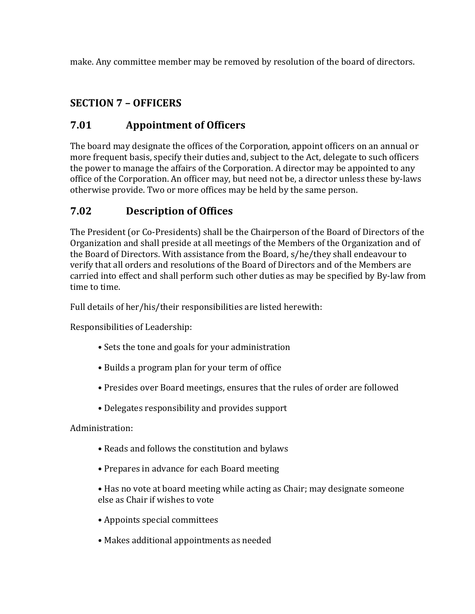make. Any committee member may be removed by resolution of the board of directors.

## **SECTION 7 – OFFICERS**

### **7.01 Appointment of Officers**

The board may designate the offices of the Corporation, appoint officers on an annual or more frequent basis, specify their duties and, subject to the Act, delegate to such officers the power to manage the affairs of the Corporation. A director may be appointed to any office of the Corporation. An officer may, but need not be, a director unless these by-laws otherwise provide. Two or more offices may be held by the same person.

### **7.02 Description of Offices**

The President (or Co-Presidents) shall be the Chairperson of the Board of Directors of the Organization and shall preside at all meetings of the Members of the Organization and of the Board of Directors. With assistance from the Board, s/he/they shall endeavour to verify that all orders and resolutions of the Board of Directors and of the Members are carried into effect and shall perform such other duties as may be specified by By-law from time to time.

Full details of her/his/their responsibilities are listed herewith:

Responsibilities of Leadership:

- Sets the tone and goals for your administration
- Builds a program plan for your term of office
- Presides over Board meetings, ensures that the rules of order are followed
- Delegates responsibility and provides support

Administration:

- Reads and follows the constitution and bylaws
- Prepares in advance for each Board meeting
- Has no vote at board meeting while acting as Chair; may designate someone else as Chair if wishes to vote
- Appoints special committees
- Makes additional appointments as needed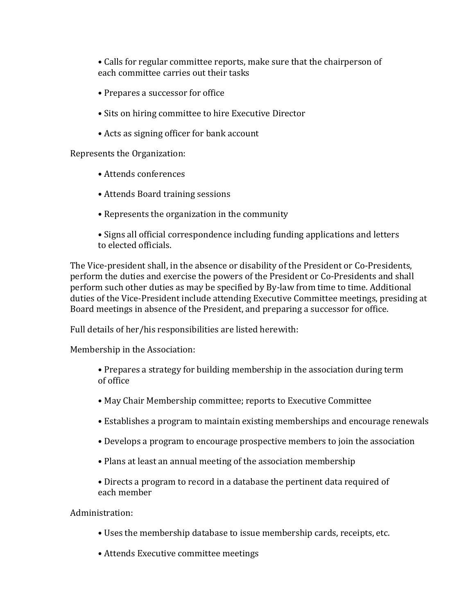• Calls for regular committee reports, make sure that the chairperson of each committee carries out their tasks

- Prepares a successor for office
- Sits on hiring committee to hire Executive Director
- Acts as signing officer for bank account

Represents the Organization:

- Attends conferences
- Attends Board training sessions
- Represents the organization in the community
- Signs all official correspondence including funding applications and letters to elected officials.

The Vice-president shall, in the absence or disability of the President or Co-Presidents, perform the duties and exercise the powers of the President or Co-Presidents and shall perform such other duties as may be specified by By-law from time to time. Additional duties of the Vice-President include attending Executive Committee meetings, presiding at Board meetings in absence of the President, and preparing a successor for office.

Full details of her/his responsibilities are listed herewith:

Membership in the Association:

- Prepares a strategy for building membership in the association during term of office
- May Chair Membership committee; reports to Executive Committee
- Establishes a program to maintain existing memberships and encourage renewals
- Develops a program to encourage prospective members to join the association
- Plans at least an annual meeting of the association membership
- Directs a program to record in a database the pertinent data required of each member

Administration:

- Uses the membership database to issue membership cards, receipts, etc.
- Attends Executive committee meetings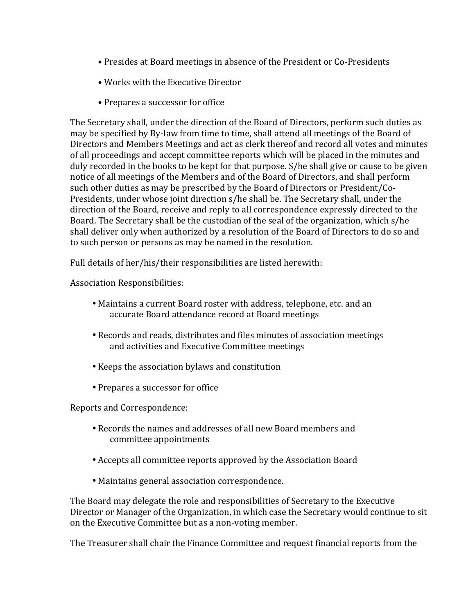- Presides at Board meetings in absence of the President or Co-Presidents
- Works with the Executive Director
- Prepares a successor for office

The Secretary shall, under the direction of the Board of Directors, perform such duties as may be specified by By-law from time to time, shall attend all meetings of the Board of Directors and Members Meetings and act as clerk thereof and record all votes and minutes of all proceedings and accept committee reports which will be placed in the minutes and duly recorded in the books to be kept for that purpose. S/he shall give or cause to be given notice of all meetings of the Members and of the Board of Directors, and shall perform such other duties as may be prescribed by the Board of Directors or President/Co-Presidents, under whose joint direction s/he shall be. The Secretary shall, under the direction of the Board, receive and reply to all correspondence expressly directed to the Board. The Secretary shall be the custodian of the seal of the organization, which s/he shall deliver only when authorized by a resolution of the Board of Directors to do so and to such person or persons as may be named in the resolution.

Full details of her/his/their responsibilities are listed herewith:

Association Responsibilities:

- Maintains a current Board roster with address, telephone, etc. and an accurate Board attendance record at Board meetings
- Records and reads, distributes and files minutes of association meetings and activities and Executive Committee meetings
- Keeps the association bylaws and constitution
- Prepares a successor for office

Reports and Correspondence:

- Records the names and addresses of all new Board members and committee appointments
- Accepts all committee reports approved by the Association Board
- Maintains general association correspondence.

The Board may delegate the role and responsibilities of Secretary to the Executive Director or Manager of the Organization, in which case the Secretary would continue to sit on the Executive Committee but as a non-voting member.

The Treasurer shall chair the Finance Committee and request financial reports from the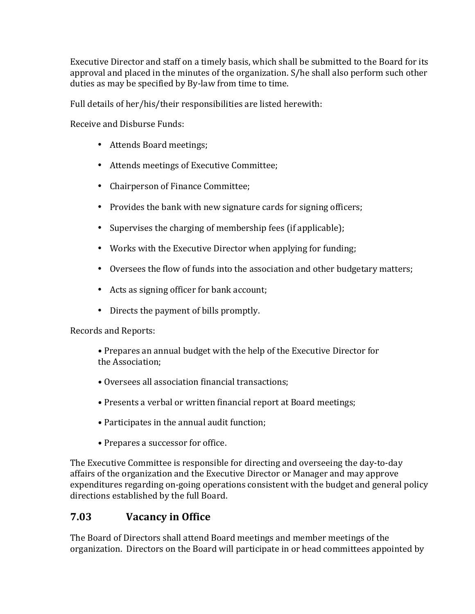Executive Director and staff on a timely basis, which shall be submitted to the Board for its approval and placed in the minutes of the organization. S/he shall also perform such other duties as may be specified by By-law from time to time.

Full details of her/his/their responsibilities are listed herewith:

Receive and Disburse Funds:

- Attends Board meetings;
- Attends meetings of Executive Committee;
- Chairperson of Finance Committee;
- Provides the bank with new signature cards for signing officers;
- Supervises the charging of membership fees (if applicable);
- Works with the Executive Director when applying for funding;
- Oversees the flow of funds into the association and other budgetary matters;
- Acts as signing officer for bank account;
- Directs the payment of bills promptly.

Records and Reports:

• Prepares an annual budget with the help of the Executive Director for the Association:

- Oversees all association financial transactions:
- Presents a verbal or written financial report at Board meetings;
- Participates in the annual audit function;
- Prepares a successor for office.

The Executive Committee is responsible for directing and overseeing the day-to-day affairs of the organization and the Executive Director or Manager and may approve expenditures regarding on-going operations consistent with the budget and general policy directions established by the full Board.

#### **7.03 Vacancy in Office**

The Board of Directors shall attend Board meetings and member meetings of the organization. Directors on the Board will participate in or head committees appointed by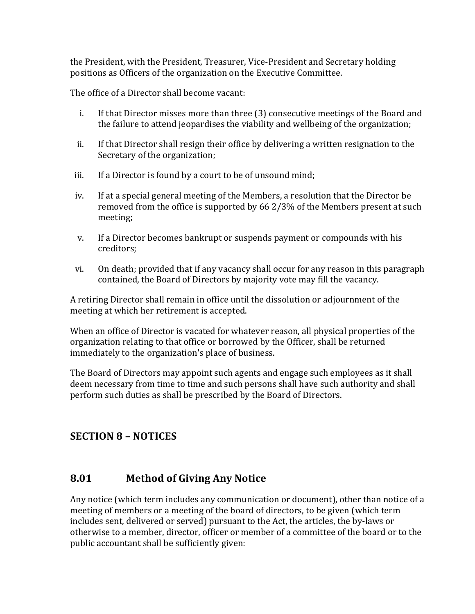the President, with the President, Treasurer, Vice-President and Secretary holding positions as Officers of the organization on the Executive Committee.

The office of a Director shall become vacant:

- i. If that Director misses more than three (3) consecutive meetings of the Board and the failure to attend jeopardises the viability and wellbeing of the organization;
- ii. If that Director shall resign their office by delivering a written resignation to the Secretary of the organization;
- iii. If a Director is found by a court to be of unsound mind;
- iv. If at a special general meeting of the Members, a resolution that the Director be removed from the office is supported by  $66\frac{2}{3}\%$  of the Members present at such meeting;
- v. If a Director becomes bankrupt or suspends payment or compounds with his creditors;
- vi. On death; provided that if any vacancy shall occur for any reason in this paragraph contained, the Board of Directors by majority vote may fill the vacancy.

A retiring Director shall remain in office until the dissolution or adjournment of the meeting at which her retirement is accepted.

When an office of Director is vacated for whatever reason, all physical properties of the organization relating to that office or borrowed by the Officer, shall be returned immediately to the organization's place of business.

The Board of Directors may appoint such agents and engage such employees as it shall deem necessary from time to time and such persons shall have such authority and shall perform such duties as shall be prescribed by the Board of Directors.

## **SECTION 8 – NOTICES**

#### **8.01 Method of Giving Any Notice**

Any notice (which term includes any communication or document), other than notice of a meeting of members or a meeting of the board of directors, to be given (which term includes sent, delivered or served) pursuant to the Act, the articles, the by-laws or otherwise to a member, director, officer or member of a committee of the board or to the public accountant shall be sufficiently given: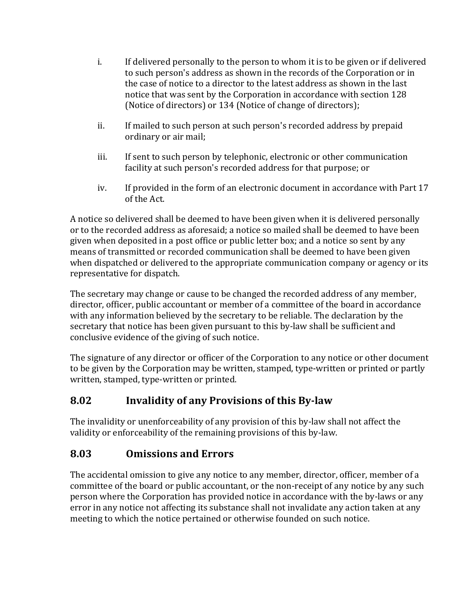- i. If delivered personally to the person to whom it is to be given or if delivered to such person's address as shown in the records of the Corporation or in the case of notice to a director to the latest address as shown in the last notice that was sent by the Corporation in accordance with section 128 (Notice of directors) or 134 (Notice of change of directors);
- ii. If mailed to such person at such person's recorded address by prepaid ordinary or air mail;
- iii. If sent to such person by telephonic, electronic or other communication facility at such person's recorded address for that purpose; or
- iv. If provided in the form of an electronic document in accordance with Part 17 of the Act.

A notice so delivered shall be deemed to have been given when it is delivered personally or to the recorded address as aforesaid; a notice so mailed shall be deemed to have been given when deposited in a post office or public letter box; and a notice so sent by any means of transmitted or recorded communication shall be deemed to have been given when dispatched or delivered to the appropriate communication company or agency or its representative for dispatch.

The secretary may change or cause to be changed the recorded address of any member, director, officer, public accountant or member of a committee of the board in accordance with any information believed by the secretary to be reliable. The declaration by the secretary that notice has been given pursuant to this by-law shall be sufficient and conclusive evidence of the giving of such notice.

The signature of any director or officer of the Corporation to any notice or other document to be given by the Corporation may be written, stamped, type-written or printed or partly written, stamped, type-written or printed.

## **8.02 Invalidity of any Provisions of this By-law**

The invalidity or unenforceability of any provision of this by-law shall not affect the validity or enforceability of the remaining provisions of this by-law.

## **8.03 Omissions and Errors**

The accidental omission to give any notice to any member, director, officer, member of a committee of the board or public accountant, or the non-receipt of any notice by any such person where the Corporation has provided notice in accordance with the by-laws or any error in any notice not affecting its substance shall not invalidate any action taken at any meeting to which the notice pertained or otherwise founded on such notice.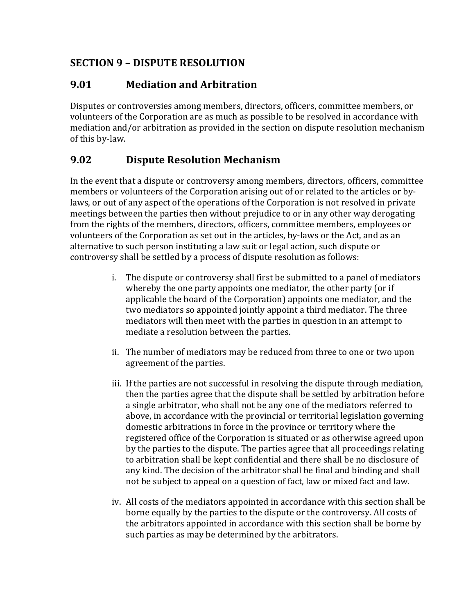## **SECTION 9 – DISPUTE RESOLUTION**

## **9.01 Mediation and Arbitration**

Disputes or controversies among members, directors, officers, committee members, or volunteers of the Corporation are as much as possible to be resolved in accordance with mediation and/or arbitration as provided in the section on dispute resolution mechanism of this by-law.

## **9.02 Dispute Resolution Mechanism**

In the event that a dispute or controversy among members, directors, officers, committee members or volunteers of the Corporation arising out of or related to the articles or bylaws, or out of any aspect of the operations of the Corporation is not resolved in private meetings between the parties then without prejudice to or in any other way derogating from the rights of the members, directors, officers, committee members, employees or volunteers of the Corporation as set out in the articles, by-laws or the Act, and as an alternative to such person instituting a law suit or legal action, such dispute or controversy shall be settled by a process of dispute resolution as follows:

- i. The dispute or controversy shall first be submitted to a panel of mediators whereby the one party appoints one mediator, the other party (or if applicable the board of the Corporation) appoints one mediator, and the two mediators so appointed jointly appoint a third mediator. The three mediators will then meet with the parties in question in an attempt to mediate a resolution between the parties.
- ii. The number of mediators may be reduced from three to one or two upon agreement of the parties.
- iii. If the parties are not successful in resolving the dispute through mediation, then the parties agree that the dispute shall be settled by arbitration before a single arbitrator, who shall not be any one of the mediators referred to above, in accordance with the provincial or territorial legislation governing domestic arbitrations in force in the province or territory where the registered office of the Corporation is situated or as otherwise agreed upon by the parties to the dispute. The parties agree that all proceedings relating to arbitration shall be kept confidential and there shall be no disclosure of any kind. The decision of the arbitrator shall be final and binding and shall not be subject to appeal on a question of fact, law or mixed fact and law.
- iv. All costs of the mediators appointed in accordance with this section shall be borne equally by the parties to the dispute or the controversy. All costs of the arbitrators appointed in accordance with this section shall be borne by such parties as may be determined by the arbitrators.